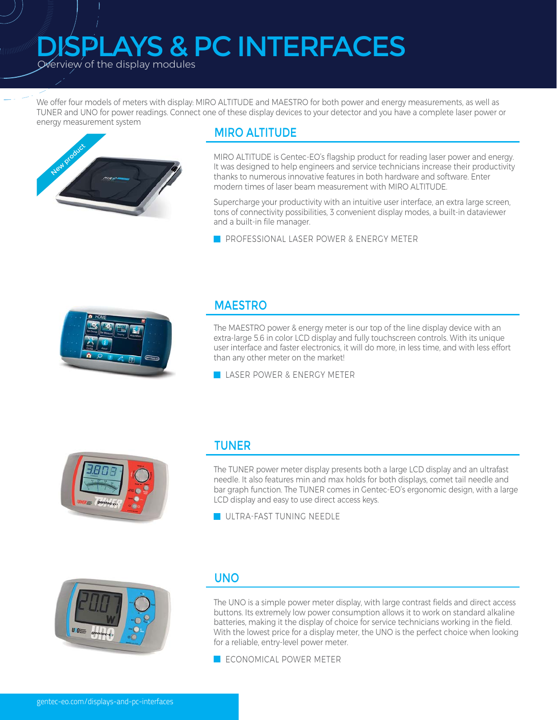# AYS & PC INTERFACES

**V**erview of the display modules

aliinnim<sub>inne</sub>

We offer four models of meters with display: MIRO ALTITUDE and MAESTRO for both power and energy measurements, as well as TUNER and UNO for power readings. Connect one of these display devices to your detector and you have a complete laser power or energy measurement system



#### MIRO ALTITUDE

MIRO ALTITUDE is Gentec-EO's flagship product for reading laser power and energy. It was designed to help engineers and service technicians increase their productivity thanks to numerous innovative features in both hardware and software. Enter modern times of laser beam measurement with MIRO ALTITUDE.

Supercharge your productivity with an intuitive user interface, an extra large screen. tons of connectivity possibilities, 3 convenient display modes, a built-in dataviewer and a built-in file manager.

**ZA** PROFESSIONAL LASER POWER & ENERGY METER



#### MAESTRO

The MAESTRO power & energy meter is our top of the line display device with an extra-large 5.6 in color LCD display and fully touchscreen controls. With its unique user interface and faster electronics, it will do more, in less time, and with less effort than any other meter on the market!

**LASER POWER & ENERGY METER** 



#### TUNER

The TUNER power meter display presents both a large LCD display and an ultrafast needle. It also features min and max holds for both displays, comet tail needle and bar graph function. The TUNER comes in Gentec-EO's ergonomic design, with a large LCD display and easy to use direct access keys.

 $\blacksquare$  UITRA-FAST TUNING NEEDLE



#### UNO

The UNO is a simple power meter display, with large contrast fields and direct access buttons. Its extremely low power consumption allows it to work on standard alkaline batteries, making it the display of choice for service technicians working in the field. With the lowest price for a display meter, the UNO is the perfect choice when looking for a reliable, entry-level power meter.

**K:** ECONOMICAL POWER METER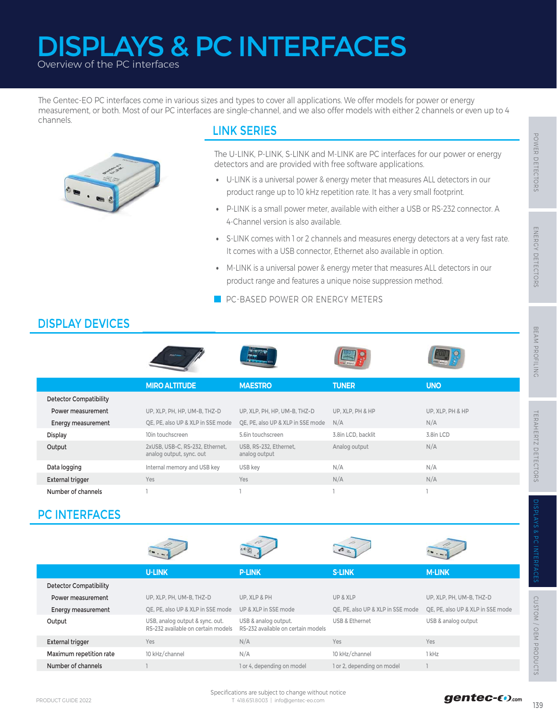# Overview of the PC interfaces DISPLAYS & PC INTERFACES

The Gentec-EO PC interfaces come in various sizes and types to cover all applications. We offer models for power or energy measurement, or both. Most of our PC interfaces are single-channel, and we also offer models with either 2 channels or even up to 4 channels.



### LINK SERIES

- U-LINK is a universal power & energy meter that measures ALL detectors in our product range up to 10 kHz repetition rate. It has a very small footprint.
- P-LINK is a small power meter, available with either a USB or RS-232 connector. A 4-Channel version is also available.
- S-LINK comes with 1 or 2 channels and measures energy detectors at a very fast rate. It comes with a USB connector, Ethernet also available in option.
- M-LINK is a universal power & energy meter that measures ALL detectors in our product range and features a unique noise suppression method.

# DISPLAY DEVICES

|                               |                                                                       | The U-LINK, P-LINK, S-LINK and M-LINK are PC interfaces for our power or energy<br>detectors and are provided with free software applications.<br>• U-LINK is a universal power & energy meter that measures ALL detectors in our<br>product range up to 10 kHz repetition rate. It has a very small footprint. |                                   |                                   | POWER DETECTORS            |
|-------------------------------|-----------------------------------------------------------------------|-----------------------------------------------------------------------------------------------------------------------------------------------------------------------------------------------------------------------------------------------------------------------------------------------------------------|-----------------------------------|-----------------------------------|----------------------------|
|                               | $\bullet$                                                             | P-LINK is a small power meter, available with either a USB or RS-232 connector. A<br>4-Channel version is also available.                                                                                                                                                                                       |                                   |                                   |                            |
|                               | $\bullet$                                                             | S-LINK comes with 1 or 2 channels and measures energy detectors at a very fast rate.<br>It comes with a USB connector, Ethernet also available in option.                                                                                                                                                       |                                   |                                   |                            |
|                               | $\bullet$                                                             | M-LINK is a universal power & energy meter that measures ALL detectors in our<br>product range and features a unique noise suppression method.                                                                                                                                                                  |                                   |                                   | ENERCY DETECTORS           |
|                               |                                                                       | PC-BASED POWER OR ENERGY METERS                                                                                                                                                                                                                                                                                 |                                   |                                   |                            |
| <b>DISPLAY DEVICES</b>        |                                                                       |                                                                                                                                                                                                                                                                                                                 |                                   |                                   |                            |
|                               |                                                                       |                                                                                                                                                                                                                                                                                                                 |                                   |                                   | BEAM PROFILING             |
|                               | <b>MIRO ALTITUDE</b>                                                  | <b>MAESTRO</b>                                                                                                                                                                                                                                                                                                  | <b>TUNER</b>                      | <b>UNO</b>                        |                            |
| <b>Detector Compatibility</b> |                                                                       |                                                                                                                                                                                                                                                                                                                 |                                   |                                   |                            |
| Power measurement             | UP, XLP, PH, HP, UM-B, THZ-D                                          | UP, XLP, PH, HP, UM-B, THZ-D                                                                                                                                                                                                                                                                                    | UP, XLP, PH & HP                  | UP, XLP, PH & HP                  |                            |
| Energy measurement            | QE, PE, also UP & XLP in SSE mode                                     | QE, PE, also UP & XLP in SSE mode                                                                                                                                                                                                                                                                               | N/A                               | N/A                               |                            |
| Display                       | 10in touchscreen                                                      | 5.6in touchscreen                                                                                                                                                                                                                                                                                               | 3.8in LCD, backlit                | 3.8in LCD                         |                            |
| Output                        | 2xUSB, USB-C, RS-232, Ethernet,<br>analog output, sync. out           | USB, RS-232, Ethernet,<br>analog output                                                                                                                                                                                                                                                                         | Analog output                     | N/A                               | <b>TERAHERTZ DETECTORS</b> |
| Data logging                  | Internal memory and USB key                                           | USB key                                                                                                                                                                                                                                                                                                         | N/A                               | N/A                               |                            |
| <b>External trigger</b>       | Yes                                                                   | Yes                                                                                                                                                                                                                                                                                                             | N/A                               | N/A                               |                            |
| Number of channels            | I.                                                                    | L                                                                                                                                                                                                                                                                                                               |                                   | I.                                |                            |
| <b>PC INTERFACES</b>          |                                                                       |                                                                                                                                                                                                                                                                                                                 |                                   |                                   | DISPLAYS & Po              |
|                               |                                                                       |                                                                                                                                                                                                                                                                                                                 |                                   |                                   | <b>INTERFACES</b>          |
|                               | <b>U-LINK</b>                                                         | <b>P-LINK</b>                                                                                                                                                                                                                                                                                                   | <b>S-LINK</b>                     | <b>M-LINK</b>                     |                            |
| Detector Compatibility        |                                                                       |                                                                                                                                                                                                                                                                                                                 |                                   |                                   |                            |
| Power measurement             | UP, XLP, PH, UM-B, THZ-D                                              | UP, XLP & PH                                                                                                                                                                                                                                                                                                    | UP & XLP                          | UP, XLP, PH, UM-B, THZ-D          |                            |
| <b>Energy measurement</b>     | QE, PE, also UP & XLP in SSE mode                                     | UP & XLP in SSE mode                                                                                                                                                                                                                                                                                            | QE, PE, also UP & XLP in SSE mode | QE, PE, also UP & XLP in SSE mode |                            |
| Output                        | USB, analog output & sync. out.<br>RS-232 available on certain models | USB & analog output.<br>RS-232 available on certain models                                                                                                                                                                                                                                                      | USB & Ethernet                    | USB & analog output               | CUSTOM / OEM PRODUCTS      |
| <b>External trigger</b>       | Yes                                                                   | N/A                                                                                                                                                                                                                                                                                                             | Yes                               | Yes                               |                            |
| Maximum repetition rate       | 10 kHz/channel                                                        | N/A                                                                                                                                                                                                                                                                                                             | 10 kHz/channel                    | 1 kHz                             |                            |
| Number of channels            | $\mathbb{L}$                                                          | 1 or 4, depending on model                                                                                                                                                                                                                                                                                      | 1 or 2, depending on model        | $\overline{1}$                    |                            |
| PRODUCT GUIDE 2022            |                                                                       | Specifications are subject to change without notice<br>T 418.651.8003   info@gentec-eo.com                                                                                                                                                                                                                      |                                   | gentec-CO.com                     | 139                        |

# PC INTERFACES



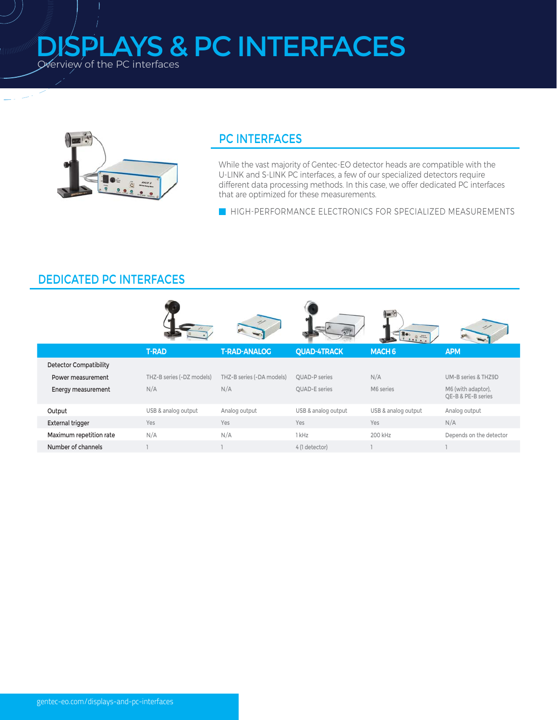**SPLAYS & PC INTERFACES** Werview of the PC interfaces



*MANIMARY* 

### **PC INTERFACES**

While the vast majority of Gentec-EO detector heads are compatible with the U-LINK and S-LINK PC interfaces, a few of our specialized detectors require different data processing methods. In this case, we offer dedicated PC interfaces that are optimized for these measurements.

HIGH-PERFORMANCE ELECTRONICS FOR SPECIALIZED MEASUREMENTS

## **DEDICATED PC INTERFACES**

|                               |                           |                           |                      | How ??<br>$5 - 24$  |                                          |
|-------------------------------|---------------------------|---------------------------|----------------------|---------------------|------------------------------------------|
|                               | <b>T-RAD</b>              | <b>T-RAD-ANALOG</b>       | <b>QUAD-4TRACK</b>   | MACH <sub>6</sub>   | <b>APM</b>                               |
| <b>Detector Compatibility</b> |                           |                           |                      |                     |                                          |
| Power measurement             | THZ-B series (-DZ models) | THZ-B series (-DA models) | <b>OUAD-P</b> series | N/A                 | UM-B series & THZ9D                      |
| Energy measurement            | N/A                       | N/A                       | <b>OUAD-E</b> series | M6 series           | M6 (with adaptor),<br>QE-B & PE-B series |
| Output                        | USB & analog output       | Analog output             | USB & analog output  | USB & analog output | Analog output                            |
| External trigger              | Yes                       | Yes                       | Yes                  | Yes                 | N/A                                      |
| Maximum repetition rate       | N/A                       | N/A                       | 1 kHz                | 200 kHz             | Depends on the detector                  |
| Number of channels            |                           |                           | 4 (1 detector)       |                     |                                          |